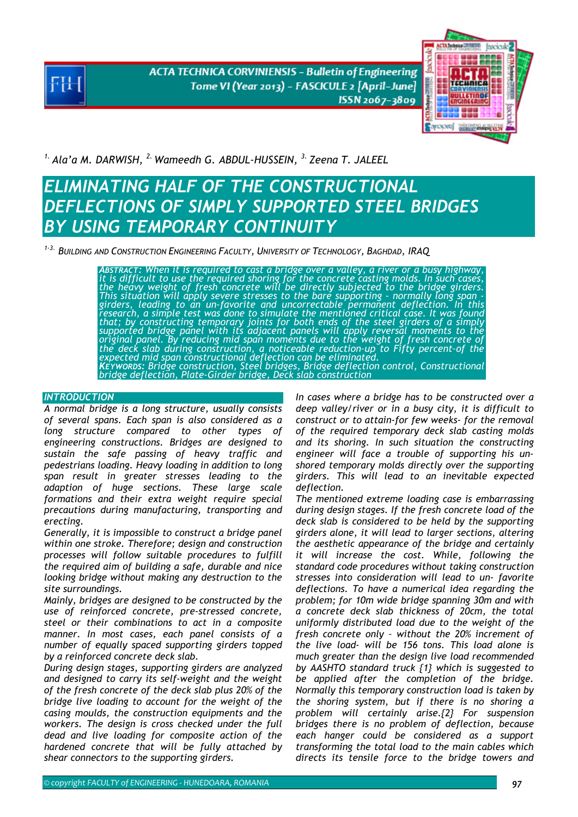**ACTA TECHNICA CORVINIENSIS - Bulletin of Engineering** Tome VI (Year 2013) - FASCICULE 2 [April-June] ISSN 2067-3809



*1. Ala'a M. DARWISH, 2. Wameedh G. ABDUL-HUSSEIN, 3. Zeena T. JALEEL* 

# *ELIMINATING HALF OF THE CONSTRUCTIONAL DEFLECTIONS OF SIMPLY SUPPORTED STEEL BRIDGES BY USING TEMPORARY CONTINUITY*

*1-3. BUILDING AND CONSTRUCTION ENGINEERING FACULTY, UNIVERSITY OF TECHNOLOGY, BAGHDAD, IRAQ* 

ABSTRACT: When it is required to cast a bridge over a valley, a river or a busy highway, it is difficult to use the required shoring for the concrete casting molds. In such cases, the heavy weight of fresh concrete will be girders, leading to an un-favorite and uncorrectable permanent deflection. In this<br>research, a simple test was done to simulate the mentioned critical case. It was found that; by constructing temporary joints for both ends of the steel girders of a simply<br>supported bridge panel with its adjacent panels will apply reversal moments to the<br>original panel. By reducing mid span moments due to t

## *INTRODUCTION*

*A normal bridge is a long structure, usually consists of several spans. Each span is also considered as a long structure compared to other types of engineering constructions. Bridges are designed to sustain the safe passing of heavy traffic and pedestrians loading. Heavy loading in addition to long span result in greater stresses leading to the adaption of huge sections. These large scale formations and their extra weight require special precautions during manufacturing, transporting and erecting.* 

*Generally, it is impossible to construct a bridge panel within one stroke. Therefore; design and construction processes will follow suitable procedures to fulfill the required aim of building a safe, durable and nice looking bridge without making any destruction to the site surroundings.* 

*Mainly, bridges are designed to be constructed by the use of reinforced concrete, pre-stressed concrete, steel or their combinations to act in a composite manner. In most cases, each panel consists of a number of equally spaced supporting girders topped by a reinforced concrete deck slab.* 

*During design stages, supporting girders are analyzed and designed to carry its self-weight and the weight of the fresh concrete of the deck slab plus 20% of the bridge live loading to account for the weight of the casing moulds, the construction equipments and the workers. The design is cross checked under the full dead and live loading for composite action of the hardened concrete that will be fully attached by shear connectors to the supporting girders.* 

*In cases where a bridge has to be constructed over a deep valley/river or in a busy city, it is difficult to construct or to attain-for few weeks- for the removal of the required temporary deck slab casting molds and its shoring. In such situation the constructing engineer will face a trouble of supporting his unshored temporary molds directly over the supporting girders. This will lead to an inevitable expected deflection.* 

*The mentioned extreme loading case is embarrassing during design stages. If the fresh concrete load of the deck slab is considered to be held by the supporting girders alone, it will lead to larger sections, altering the aesthetic appearance of the bridge and certainly it will increase the cost. While, following the standard code procedures without taking construction stresses into consideration will lead to un- favorite deflections. To have a numerical idea regarding the problem; for 10m wide bridge spanning 30m and with a concrete deck slab thickness of 20cm, the total uniformly distributed load due to the weight of the fresh concrete only – without the 20% increment of the live load- will be 156 tons. This load alone is much greater than the design live load recommended by AASHTO standard truck {1} which is suggested to be applied after the completion of the bridge. Normally this temporary construction load is taken by the shoring system, but if there is no shoring a problem will certainly arise.{2} For suspension bridges there is no problem of deflection, because each hanger could be considered as a support transforming the total load to the main cables which directs its tensile force to the bridge towers and*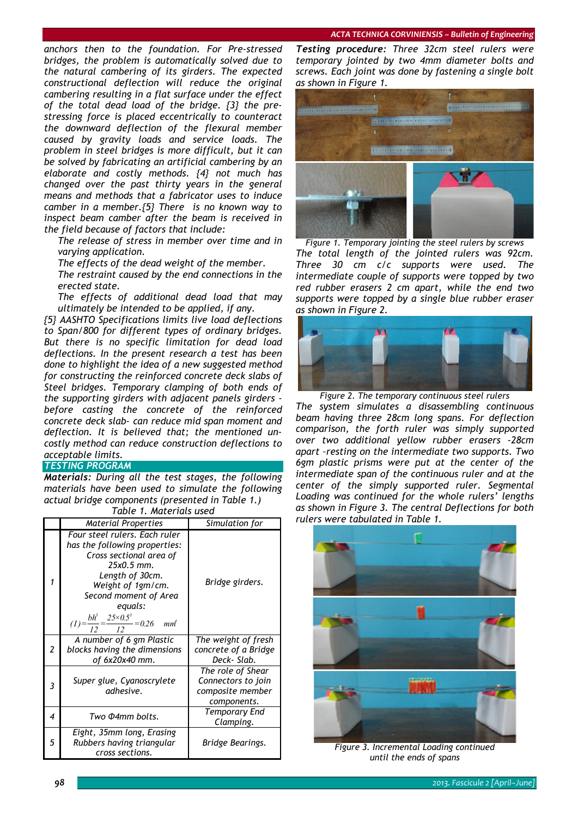*anchors then to the foundation. For Pre-stressed bridges, the problem is automatically solved due to the natural cambering of its girders. The expected constructional deflection will reduce the original cambering resulting in a flat surface under the effect of the total dead load of the bridge. {3} the prestressing force is placed eccentrically to counteract the downward deflection of the flexural member caused by gravity loads and service loads. The problem in steel bridges is more difficult, but it can be solved by fabricating an artificial cambering by an elaborate and costly methods. {4} not much has changed over the past thirty years in the general means and methods that a fabricator uses to induce camber in a member.{5} There is no known way to inspect beam camber after the beam is received in the field because of factors that include:* 

 *The release of stress in member over time and in varying application.* 

*The effects of the dead weight of the member.* 

 *The restraint caused by the end connections in the erected state.* 

 *The effects of additional dead load that may ultimately be intended to be applied, if any.* 

*{5} AASHTO Specifications limits live load deflections to Span/800 for different types of ordinary bridges. But there is no specific limitation for dead load deflections. In the present research a test has been done to highlight the idea of a new suggested method for constructing the reinforced concrete deck slabs of Steel bridges. Temporary clamping of both ends of the supporting girders with adjacent panels girders before casting the concrete of the reinforced concrete deck slab- can reduce mid span moment and deflection. It is believed that; the mentioned uncostly method can reduce construction deflections to acceptable limits.* 

## **TESTING PROGRAM**

*Materials: During all the test stages, the following materials have been used to simulate the following actual bridge components (presented in Table 1.) Table 1. Materials used* 

| TUDIE T. MULETIUIS USEU |                                                                                                                                                                                                                                                            |                                                                            |  |
|-------------------------|------------------------------------------------------------------------------------------------------------------------------------------------------------------------------------------------------------------------------------------------------------|----------------------------------------------------------------------------|--|
|                         | <b>Material Properties</b>                                                                                                                                                                                                                                 | Simulation for                                                             |  |
|                         | Four steel rulers. Each ruler<br>has the following properties:<br>Cross sectional area of<br>$25x0.5$ mm.<br>Length of 30cm.<br>Weight of 1gm/cm.<br>Second moment of Area<br>equals:<br>$(I) = \frac{bh^3}{12} = \frac{25 \times 0.5^3}{12} = 0.26$<br>mm | Bridge girders.                                                            |  |
| $\overline{2}$          | A number of 6 gm Plastic<br>blocks having the dimensions<br>of 6x20x40 mm.                                                                                                                                                                                 | The weight of fresh<br>concrete of a Bridge<br>Deck-Slab.                  |  |
| 3                       | Super glue, Cyanoscrylete<br>adhesive.                                                                                                                                                                                                                     | The role of Shear<br>Connectors to join<br>composite member<br>components. |  |
| 4                       | Two Φ4mm bolts.                                                                                                                                                                                                                                            | <b>Temporary End</b><br>Clamping.                                          |  |
| 5                       | Eight, 35mm long, Erasing<br>Rubbers having triangular<br>cross sections.                                                                                                                                                                                  | Bridge Bearings.                                                           |  |

*Testing procedure: Three 32cm steel rulers were temporary jointed by two 4mm diameter bolts and screws. Each joint was done by fastening a single bolt as shown in Figure 1.* 



*Figure 1. Temporary jointing the steel rulers by screws The total length of the jointed rulers was 92cm. Three 30 cm c/c supports were used. The intermediate couple of supports were topped by two red rubber erasers 2 cm apart, while the end two supports were topped by a single blue rubber eraser as shown in Figure 2.* 



*Figure 2. The temporary continuous steel rulers The system simulates a disassembling continuous beam having three 28cm long spans. For deflection comparison, the forth ruler was simply supported over two additional yellow rubber erasers -28cm apart –resting on the intermediate two supports. Two 6gm plastic prisms were put at the center of the intermediate span of the continuous ruler and at the center of the simply supported ruler. Segmental Loading was continued for the whole rulers' lengths as shown in Figure 3. The central Deflections for both rulers were tabulated in Table 1.* 



*Figure 3. Incremental Loading continued until the ends of spans*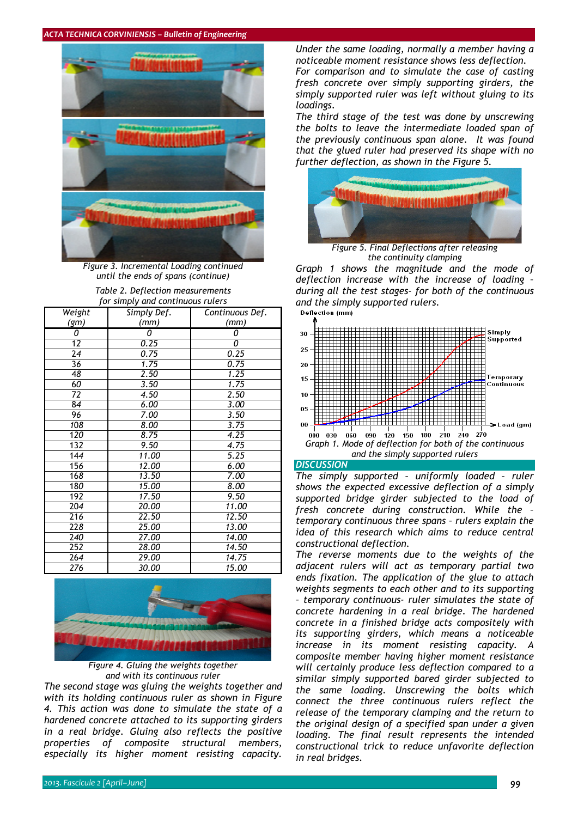#### *ACTA TECHNICA CORVINIENSIS – Bulletin of Engineering*



*Figure 3. Incremental Loading continued until the ends of spans (continue)* 

| Table 2. Deflection measurements |
|----------------------------------|
| for simply and continuous rulers |

| Weight           | Simply Def. | Continuous Def. |
|------------------|-------------|-----------------|
| (gm)             | (mm)        | (mm)            |
| 0                | 0           | 0               |
| 12               | 0.25        | 0               |
| 24               | 0.75        | 0.25            |
| 36               | 1.75        | 0.75            |
| 48               | 2.50        | 1.25            |
| 60               | 3.50        | 1.75            |
| 72               | 4.50        | 2.50            |
| 84               | 6.00        | 3.00            |
| 96               | 7.00        | 3.50            |
| 108              | 8.00        | 3.75            |
| 120              | 8.75        | 4.25            |
| 132              | 9.50        | 4.75            |
| $\overline{144}$ | 11.00       | 5.25            |
| 156              | 12.00       | 6.00            |
| 168              | 13.50       | 7.00            |
| 180              | 15.00       | 8.00            |
| $\overline{192}$ | 17.50       | 9.50            |
| 204              | 20.00       | 11.00           |
| 216              | 22.50       | 12.50           |
| 228              | 25.00       | 13.00           |
| 240              | 27.00       | 14.00           |
| 252              | 28.00       | 14.50           |
| 264              | 29.00       | 14.75           |
| 276              | 30.00       | 15.00           |



*Figure 4. Gluing the weights together and with its continuous ruler* 

*The second stage was gluing the weights together and with its holding continuous ruler as shown in Figure 4. This action was done to simulate the state of a hardened concrete attached to its supporting girders in a real bridge. Gluing also reflects the positive properties of composite structural members, especially its higher moment resisting capacity.* 

*Under the same loading, normally a member having a noticeable moment resistance shows less deflection. For comparison and to simulate the case of casting fresh concrete over simply supporting girders, the simply supported ruler was left without gluing to its loadings.* 

*The third stage of the test was done by unscrewing the bolts to leave the intermediate loaded span of the previously continuous span alone. It was found that the glued ruler had preserved its shape with no further deflection, as shown in the Figure 5.* 



*Figure 5. Final Deflections after releasing the continuity clamping Graph 1 shows the magnitude and the mode of deflection increase with the increase of loading – during all the test stages- for both of the continuous and the simply supported rulers.* 





*DISCUSSION*

*The simply supported – uniformly loaded – ruler shows the expected excessive deflection of a simply supported bridge girder subjected to the load of fresh concrete during construction. While the – temporary continuous three spans – rulers explain the idea of this research which aims to reduce central constructional deflection.* 

*The reverse moments due to the weights of the adjacent rulers will act as temporary partial two ends fixation. The application of the glue to attach weights segments to each other and to its supporting – temporary continuous- ruler simulates the state of concrete hardening in a real bridge. The hardened concrete in a finished bridge acts compositely with its supporting girders, which means a noticeable increase in its moment resisting capacity. A composite member having higher moment resistance will certainly produce less deflection compared to a similar simply supported bared girder subjected to the same loading. Unscrewing the bolts which connect the three continuous rulers reflect the release of the temporary clamping and the return to the original design of a specified span under a given loading. The final result represents the intended constructional trick to reduce unfavorite deflection in real bridges.*